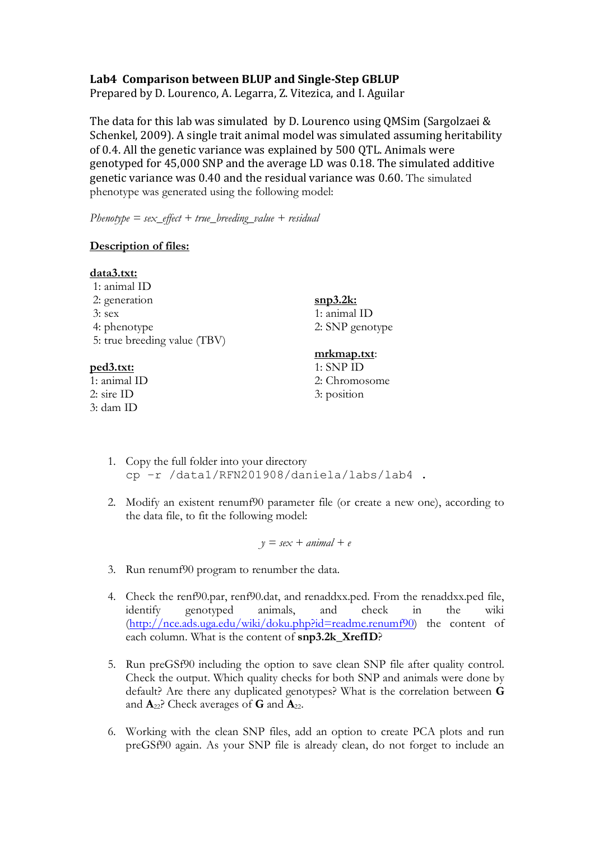## **Lab4 Comparison between BLUP and Single-Step GBLUP**

Prepared by D. Lourenco, A. Legarra, Z. Vitezica, and I. Aguilar

The data for this lab was simulated by D. Lourenco using QMSim (Sargolzaei  $&$ Schenkel, 2009). A single trait animal model was simulated assuming heritability of 0.4. All the genetic variance was explained by 500 QTL. Animals were genotyped for 45,000 SNP and the average LD was 0.18. The simulated additive genetic variance was 0.40 and the residual variance was 0.60. The simulated phenotype was generated using the following model:

*Phenotype = sex\_effect + true\_breeding\_value + residual* 

## **Description of files:**

| <u>data3.txt:</u>            |                 |
|------------------------------|-----------------|
| 1: animal ID                 |                 |
| 2: generation                | $snp3.2k$ :     |
| $3:$ sex                     | 1: animal ID    |
| 4: phenotype                 | 2: SNP genotype |
| 5: true breeding value (TBV) |                 |
|                              | mrkmap.txt:     |
| <u>ped3.txt:</u>             | $1:$ SNP ID     |
| 1: animal ID                 | 2: Chromosome   |
| $2:$ sire ID                 | 3: position     |
| 3: dam ID                    |                 |

- 1. Copy the full folder into your directory cp –r /data1/RFN201908/daniela/labs/lab4 .
- 2. Modify an existent renumf90 parameter file (or create a new one), according to the data file, to fit the following model:

 $y = \textit{sex} + \textit{animal} + \textit{e}$ 

- 3. Run renumf90 program to renumber the data.
- 4. Check the renf90.par, renf90.dat, and renaddxx.ped. From the renaddxx.ped file, identify genotyped animals, and check in the wiki (http://nce.ads.uga.edu/wiki/doku.php?id=readme.renumf90) the content of each column. What is the content of **snp3.2k\_XrefID**?
- 5. Run preGSf90 including the option to save clean SNP file after quality control. Check the output. Which quality checks for both SNP and animals were done by default? Are there any duplicated genotypes? What is the correlation between **G** and **A**22? Check averages of **G** and **A**22.
- 6. Working with the clean SNP files, add an option to create PCA plots and run preGSf90 again. As your SNP file is already clean, do not forget to include an